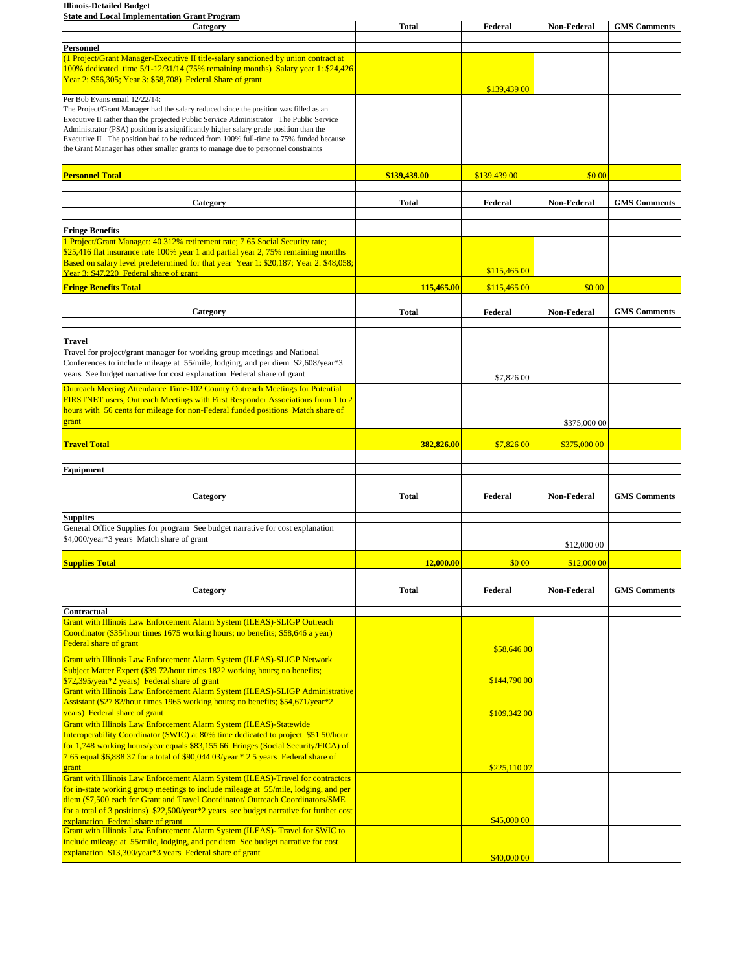**Illinois-Detailed Budget**

| <b>State and Local Implementation Grant Program</b>                                                                                                                   |              |              |                    |                     |
|-----------------------------------------------------------------------------------------------------------------------------------------------------------------------|--------------|--------------|--------------------|---------------------|
| Category                                                                                                                                                              | <b>Total</b> | Federal      | <b>Non-Federal</b> | <b>GMS</b> Comments |
|                                                                                                                                                                       |              |              |                    |                     |
| <b>Personnel</b>                                                                                                                                                      |              |              |                    |                     |
| (1 Project/Grant Manager-Executive II title-salary sanctioned by union contract at                                                                                    |              |              |                    |                     |
| 100% dedicated time 5/1-12/31/14 (75% remaining months) Salary year 1: \$24,426                                                                                       |              |              |                    |                     |
| Year 2: \$56,305; Year 3: \$58,708) Federal Share of grant                                                                                                            |              |              |                    |                     |
|                                                                                                                                                                       |              | \$139,439 00 |                    |                     |
| Per Bob Evans email 12/22/14:                                                                                                                                         |              |              |                    |                     |
| The Project/Grant Manager had the salary reduced since the position was filled as an                                                                                  |              |              |                    |                     |
| Executive II rather than the projected Public Service Administrator The Public Service                                                                                |              |              |                    |                     |
| Administrator (PSA) position is a significantly higher salary grade position than the                                                                                 |              |              |                    |                     |
| Executive II The position had to be reduced from 100% full-time to 75% funded because                                                                                 |              |              |                    |                     |
| the Grant Manager has other smaller grants to manage due to personnel constraints                                                                                     |              |              |                    |                     |
|                                                                                                                                                                       |              |              |                    |                     |
| <b>Personnel Total</b>                                                                                                                                                | \$139,439.00 | \$139,439 00 | \$0 00             |                     |
|                                                                                                                                                                       |              |              |                    |                     |
|                                                                                                                                                                       |              |              |                    |                     |
| <b>Category</b>                                                                                                                                                       | <b>Total</b> | Federal      | <b>Non-Federal</b> | <b>GMS</b> Comments |
|                                                                                                                                                                       |              |              |                    |                     |
|                                                                                                                                                                       |              |              |                    |                     |
| <b>Fringe Benefits</b>                                                                                                                                                |              |              |                    |                     |
| 1 Project/Grant Manager: 40 312% retirement rate; 7 65 Social Security rate;                                                                                          |              |              |                    |                     |
| \$25,416 flat insurance rate 100% year 1 and partial year 2,75% remaining months                                                                                      |              |              |                    |                     |
| Based on salary level predetermined for that year Year 1: \$20,187; Year 2: \$48,058;                                                                                 |              |              |                    |                     |
| <b>Year 3: \$47.220 Federal share of grant</b>                                                                                                                        |              | \$115,46500  |                    |                     |
| <b>Fringe Benefits Total</b>                                                                                                                                          | 115,465.00   | \$115,465 00 | \$0 00             |                     |
|                                                                                                                                                                       |              |              |                    |                     |
|                                                                                                                                                                       |              |              |                    |                     |
| <b>Category</b>                                                                                                                                                       | <b>Total</b> | Federal      | Non-Federal        | <b>GMS</b> Comments |
|                                                                                                                                                                       |              |              |                    |                     |
| Travel                                                                                                                                                                |              |              |                    |                     |
|                                                                                                                                                                       |              |              |                    |                     |
| Travel for project/grant manager for working group meetings and National                                                                                              |              |              |                    |                     |
| Conferences to include mileage at 55/mile, lodging, and per diem \$2,608/year*3                                                                                       |              |              |                    |                     |
| years See budget narrative for cost explanation Federal share of grant                                                                                                |              | \$7,826 00   |                    |                     |
| <b>Outreach Meeting Attendance Time-102 County Outreach Meetings for Potential</b>                                                                                    |              |              |                    |                     |
| <b>FIRSTNET</b> users, Outreach Meetings with First Responder Associations from 1 to 2                                                                                |              |              |                    |                     |
| hours with 56 cents for mileage for non-Federal funded positions Match share of                                                                                       |              |              |                    |                     |
| grant                                                                                                                                                                 |              |              | \$375,000 00       |                     |
|                                                                                                                                                                       |              |              |                    |                     |
| <b>Travel Total</b>                                                                                                                                                   | 382,826.00   | \$7,826 00   | \$375,000 00       |                     |
|                                                                                                                                                                       |              |              |                    |                     |
|                                                                                                                                                                       |              |              |                    |                     |
|                                                                                                                                                                       |              |              |                    |                     |
| <b>Equipment</b>                                                                                                                                                      |              |              |                    |                     |
|                                                                                                                                                                       |              |              |                    |                     |
|                                                                                                                                                                       | <b>Total</b> | Federal      | <b>Non-Federal</b> | <b>GMS</b> Comments |
| <b>Category</b>                                                                                                                                                       |              |              |                    |                     |
|                                                                                                                                                                       |              |              |                    |                     |
| <b>Supplies</b>                                                                                                                                                       |              |              |                    |                     |
| General Office Supplies for program See budget narrative for cost explanation                                                                                         |              |              |                    |                     |
| \$4,000/year*3 years Match share of grant                                                                                                                             |              |              | \$12,000 00        |                     |
|                                                                                                                                                                       |              |              |                    |                     |
| <b>Supplies Total</b>                                                                                                                                                 | 12.000.00    | \$00         | \$12,000,00        |                     |
|                                                                                                                                                                       |              |              |                    |                     |
|                                                                                                                                                                       |              |              |                    | <b>GMS</b> Comments |
| Category                                                                                                                                                              | Total        | Federal      | <b>Non-Federal</b> |                     |
| Contractual                                                                                                                                                           |              |              |                    |                     |
|                                                                                                                                                                       |              |              |                    |                     |
| Grant with Illinois Law Enforcement Alarm System (ILEAS)-SLIGP Outreach                                                                                               |              |              |                    |                     |
| Coordinator (\$35/hour times 1675 working hours; no benefits; \$58,646 a year)                                                                                        |              |              |                    |                     |
| <b>Federal share of grant</b>                                                                                                                                         |              | \$58,646 00  |                    |                     |
| Grant with Illinois Law Enforcement Alarm System (ILEAS)-SLIGP Network                                                                                                |              |              |                    |                     |
| Subject Matter Expert (\$39 72/hour times 1822 working hours; no benefits;                                                                                            |              |              |                    |                     |
| \$72,395/year*2 years) Federal share of grant                                                                                                                         |              | \$144,790 00 |                    |                     |
| Grant with Illinois Law Enforcement Alarm System (ILEAS)-SLIGP Administrative                                                                                         |              |              |                    |                     |
| Assistant (\$27 82/hour times 1965 working hours; no benefits; \$54,671/year*2                                                                                        |              |              |                    |                     |
| years) Federal share of grant                                                                                                                                         |              | \$109,342 00 |                    |                     |
| Grant with Illinois Law Enforcement Alarm System (ILEAS)-Statewide                                                                                                    |              |              |                    |                     |
| Interoperability Coordinator (SWIC) at 80% time dedicated to project \$51 50/hour                                                                                     |              |              |                    |                     |
| for 1,748 working hours/year equals \$83,155 66 Fringes (Social Security/FICA) of                                                                                     |              |              |                    |                     |
| 7 65 equal \$6,888 37 for a total of \$90,044 03/year * 2 5 years Federal share of                                                                                    |              |              |                    |                     |
| grant                                                                                                                                                                 |              | \$225,110 07 |                    |                     |
| Grant with Illinois Law Enforcement Alarm System (ILEAS)-Travel for contractors                                                                                       |              |              |                    |                     |
|                                                                                                                                                                       |              |              |                    |                     |
| for in-state working group meetings to include mileage at 55/mile, lodging, and per<br>diem (\$7,500 each for Grant and Travel Coordinator/ Outreach Coordinators/SME |              |              |                    |                     |
|                                                                                                                                                                       |              |              |                    |                     |
| for a total of 3 positions) \$22,500/year*2 years see budget narrative for further cost                                                                               |              | \$45,000 00  |                    |                     |
| explanation Federal share of grant<br>Grant with Illinois Law Enforcement Alarm System (ILEAS)- Travel for SWIC to                                                    |              |              |                    |                     |
| include mileage at 55/mile, lodging, and per diem See budget narrative for cost                                                                                       |              |              |                    |                     |
| explanation \$13,300/year*3 years Federal share of grant                                                                                                              |              | \$40,000 00  |                    |                     |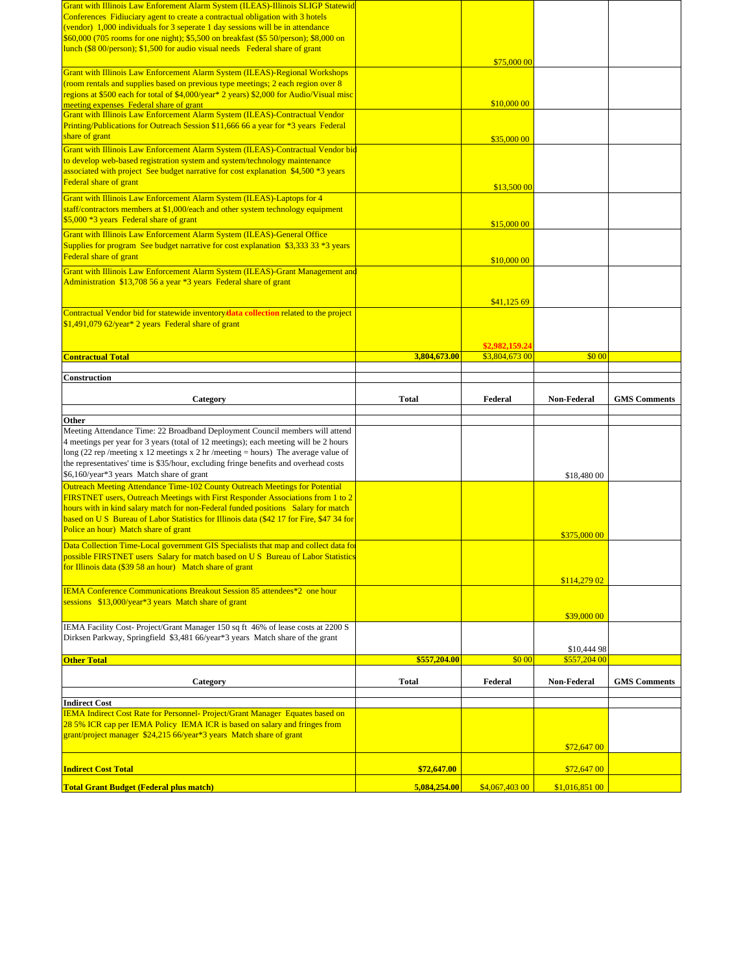| Grant with Illinois Law Enforement Alarm System (ILEAS)-Illinois SLIGP Statewid                                                                                                                            |              |                |                    |                     |
|------------------------------------------------------------------------------------------------------------------------------------------------------------------------------------------------------------|--------------|----------------|--------------------|---------------------|
| Conferences Fidiuciary agent to create a contractual obligation with 3 hotels<br>(vendor) 1,000 individuals for 3 seperate 1 day sessions will be in attendance                                            |              |                |                    |                     |
| \$60,000 (705 rooms for one night); \$5,500 on breakfast (\$5 50/person); \$8,000 on                                                                                                                       |              |                |                    |                     |
| lunch (\$8 00/person); \$1,500 for audio visual needs Federal share of grant                                                                                                                               |              |                |                    |                     |
| Grant with Illinois Law Enforcement Alarm System (ILEAS)-Regional Workshops                                                                                                                                |              | \$75,000 00    |                    |                     |
| (room rentals and supplies based on previous type meetings; 2 each region over 8                                                                                                                           |              |                |                    |                     |
| regions at \$500 each for total of \$4,000/year* 2 years) \$2,000 for Audio/Visual misc                                                                                                                    |              |                |                    |                     |
| meeting expenses Federal share of grant<br>Grant with Illinois Law Enforcement Alarm System (ILEAS)-Contractual Vendor                                                                                     |              | \$10,000 00    |                    |                     |
| Printing/Publications for Outreach Session \$11,666 66 a year for *3 years Federal                                                                                                                         |              |                |                    |                     |
| share of grant                                                                                                                                                                                             |              | \$35,000 00    |                    |                     |
| Grant with Illinois Law Enforcement Alarm System (ILEAS)-Contractual Vendor bio                                                                                                                            |              |                |                    |                     |
| to develop web-based registration system and system/technology maintenance<br>associated with project See budget narrative for cost explanation \$4,500 *3 years                                           |              |                |                    |                     |
| Federal share of grant                                                                                                                                                                                     |              | \$13,500 00    |                    |                     |
| Grant with Illinois Law Enforcement Alarm System (ILEAS)-Laptops for 4                                                                                                                                     |              |                |                    |                     |
| staff/contractors members at \$1,000/each and other system technology equipment                                                                                                                            |              |                |                    |                     |
| \$5,000 *3 years Federal share of grant                                                                                                                                                                    |              | \$15,000 00    |                    |                     |
| Grant with Illinois Law Enforcement Alarm System (ILEAS)-General Office<br>Supplies for program See budget narrative for cost explanation \$3,333 33 *3 years                                              |              |                |                    |                     |
| Federal share of grant                                                                                                                                                                                     |              | \$10,000 00    |                    |                     |
| Grant with Illinois Law Enforcement Alarm System (ILEAS)-Grant Management and                                                                                                                              |              |                |                    |                     |
| Administration \$13,708 56 a year *3 years Federal share of grant                                                                                                                                          |              |                |                    |                     |
|                                                                                                                                                                                                            |              | \$41,125 69    |                    |                     |
| Contractual Vendor bid for statewide inventory/data collection related to the project                                                                                                                      |              |                |                    |                     |
| \$1,491,079 62/year* 2 years Federal share of grant                                                                                                                                                        |              |                |                    |                     |
|                                                                                                                                                                                                            |              | \$2,982,159.24 |                    |                     |
| Contractual Total                                                                                                                                                                                          | 3,804,673.00 | \$3,804,673 00 | \$00               |                     |
| Construction                                                                                                                                                                                               |              |                |                    |                     |
|                                                                                                                                                                                                            |              |                |                    |                     |
| Category                                                                                                                                                                                                   | <b>Total</b> | Federal        | <b>Non-Federal</b> | <b>GMS</b> Comments |
| Other                                                                                                                                                                                                      |              |                |                    |                     |
|                                                                                                                                                                                                            |              |                |                    |                     |
| Meeting Attendance Time: 22 Broadband Deployment Council members will attend                                                                                                                               |              |                |                    |                     |
| 4 meetings per year for 3 years (total of 12 meetings); each meeting will be 2 hours                                                                                                                       |              |                |                    |                     |
| long $(22 \text{ rep/mecting x } 12 \text{ meetings x } 2 \text{ hr/mecting} = \text{hours})$ The average value of<br>the representatives' time is \$35/hour, excluding fringe benefits and overhead costs |              |                |                    |                     |
| \$6,160/year*3 years Match share of grant                                                                                                                                                                  |              |                | \$18,480 00        |                     |
| Outreach Meeting Attendance Time-102 County Outreach Meetings for Potential                                                                                                                                |              |                |                    |                     |
| FIRSTNET users, Outreach Meetings with First Responder Associations from 1 to 2                                                                                                                            |              |                |                    |                     |
| hours with in kind salary match for non-Federal funded positions Salary for match<br>based on U S Bureau of Labor Statistics for Illinois data (\$42 17 for Fire, \$47 34 for                              |              |                |                    |                     |
| Police an hour) Match share of grant                                                                                                                                                                       |              |                | \$375,000 00       |                     |
| Data Collection Time-Local government GIS Specialists that map and collect data for                                                                                                                        |              |                |                    |                     |
| possible FIRSTNET users Salary for match based on U S Bureau of Labor Statistics                                                                                                                           |              |                |                    |                     |
| for Illinois data (\$39.58 an hour) Match share of grant                                                                                                                                                   |              |                | \$114,279 02       |                     |
| IEMA Conference Communications Breakout Session 85 attendees*2 one hour                                                                                                                                    |              |                |                    |                     |
| sessions \$13,000/year*3 years Match share of grant                                                                                                                                                        |              |                |                    |                     |
|                                                                                                                                                                                                            |              |                | \$39,000 00        |                     |
| IEMA Facility Cost-Project/Grant Manager 150 sq ft 46% of lease costs at 2200 S<br>Dirksen Parkway, Springfield \$3,481 66/year*3 years Match share of the grant                                           |              |                |                    |                     |
|                                                                                                                                                                                                            |              |                | \$10,444 98        |                     |
| <b>Other Total</b>                                                                                                                                                                                         | \$557,204.00 | \$0 00         | \$557,204 00       |                     |
| Category                                                                                                                                                                                                   | <b>Total</b> | Federal        | <b>Non-Federal</b> | <b>GMS Comments</b> |
|                                                                                                                                                                                                            |              |                |                    |                     |
| <b>Indirect Cost</b><br>IEMA Indirect Cost Rate for Personnel- Project/Grant Manager Equates based on                                                                                                      |              |                |                    |                     |
| 28 5% ICR cap per IEMA Policy IEMA ICR is based on salary and fringes from                                                                                                                                 |              |                |                    |                     |
| grant/project manager \$24,215 66/year*3 years Match share of grant                                                                                                                                        |              |                |                    |                     |
|                                                                                                                                                                                                            |              |                | \$72,647 00        |                     |
| <b>Indirect Cost Total</b>                                                                                                                                                                                 | \$72,647.00  |                | \$72,647 00        |                     |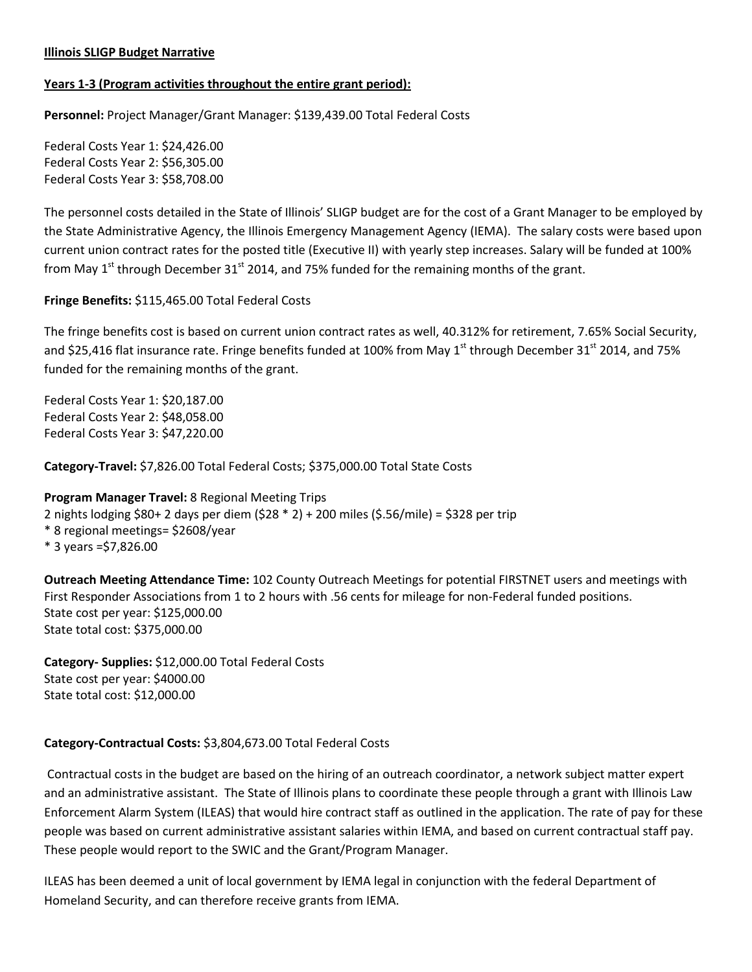### **Illinois SLIGP Budget Narrative**

### **Years 1-3 (Program activities throughout the entire grant period):**

**Personnel:** Project Manager/Grant Manager: \$139,439.00 Total Federal Costs

Federal Costs Year 1: \$24,426.00 Federal Costs Year 2: \$56,305.00 Federal Costs Year 3: \$58,708.00

The personnel costs detailed in the State of Illinois' SLIGP budget are for the cost of a Grant Manager to be employed by the State Administrative Agency, the Illinois Emergency Management Agency (IEMA). The salary costs were based upon current union contract rates for the posted title (Executive II) with yearly step increases. Salary will be funded at 100% from May  $1<sup>st</sup>$  through December 31 $<sup>st</sup>$  2014, and 75% funded for the remaining months of the grant.</sup>

#### **Fringe Benefits:** \$115,465.00 Total Federal Costs

The fringe benefits cost is based on current union contract rates as well, 40.312% for retirement, 7.65% Social Security, and \$25,416 flat insurance rate. Fringe benefits funded at 100% from May  $1<sup>st</sup>$  through December 31 $<sup>st</sup>$  2014, and 75%</sup> funded for the remaining months of the grant.

Federal Costs Year 1: \$20,187.00 Federal Costs Year 2: \$48,058.00 Federal Costs Year 3: \$47,220.00

**Category-Travel:** \$7,826.00 Total Federal Costs; \$375,000.00 Total State Costs

### **Program Manager Travel:** 8 Regional Meeting Trips

2 nights lodging \$80+ 2 days per diem (\$28 \* 2) + 200 miles (\$.56/mile) = \$328 per trip

- \* 8 regional meetings= \$2608/year
- \* 3 years =\$7,826.00

**Outreach Meeting Attendance Time:** 102 County Outreach Meetings for potential FIRSTNET users and meetings with First Responder Associations from 1 to 2 hours with .56 cents for mileage for non-Federal funded positions. State cost per year: \$125,000.00 State total cost: \$375,000.00

**Category- Supplies:** \$12,000.00 Total Federal Costs State cost per year: \$4000.00 State total cost: \$12,000.00

### **Category-Contractual Costs:** \$3,804,673.00 Total Federal Costs

Contractual costs in the budget are based on the hiring of an outreach coordinator, a network subject matter expert and an administrative assistant. The State of Illinois plans to coordinate these people through a grant with Illinois Law Enforcement Alarm System (ILEAS) that would hire contract staff as outlined in the application. The rate of pay for these people was based on current administrative assistant salaries within IEMA, and based on current contractual staff pay. These people would report to the SWIC and the Grant/Program Manager.

ILEAS has been deemed a unit of local government by IEMA legal in conjunction with the federal Department of Homeland Security, and can therefore receive grants from IEMA.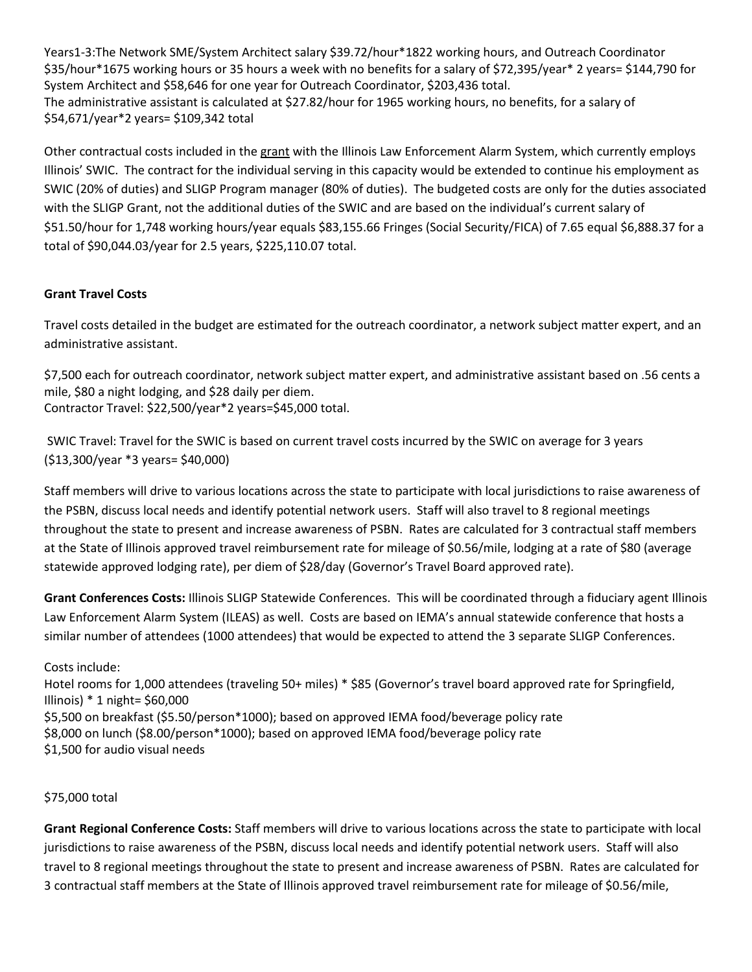Years1-3:The Network SME/System Architect salary \$39.72/hour\*1822 working hours, and Outreach Coordinator \$35/hour\*1675 working hours or 35 hours a week with no benefits for a salary of \$72,395/year\* 2 years= \$144,790 for System Architect and \$58,646 for one year for Outreach Coordinator, \$203,436 total. The administrative assistant is calculated at \$27.82/hour for 1965 working hours, no benefits, for a salary of \$54,671/year\*2 years= \$109,342 total

Other contractual costs included in the grant with the Illinois Law Enforcement Alarm System, which currently employs Illinois' SWIC. The contract for the individual serving in this capacity would be extended to continue his employment as SWIC (20% of duties) and SLIGP Program manager (80% of duties). The budgeted costs are only for the duties associated with the SLIGP Grant, not the additional duties of the SWIC and are based on the individual's current salary of \$51.50/hour for 1,748 working hours/year equals \$83,155.66 Fringes (Social Security/FICA) of 7.65 equal \$6,888.37 for a total of \$90,044.03/year for 2.5 years, \$225,110.07 total.

### **Grant Travel Costs**

Travel costs detailed in the budget are estimated for the outreach coordinator, a network subject matter expert, and an administrative assistant.

\$7,500 each for outreach coordinator, network subject matter expert, and administrative assistant based on .56 cents a mile, \$80 a night lodging, and \$28 daily per diem. Contractor Travel: \$22,500/year\*2 years=\$45,000 total.

SWIC Travel: Travel for the SWIC is based on current travel costs incurred by the SWIC on average for 3 years (\$13,300/year \*3 years= \$40,000)

Staff members will drive to various locations across the state to participate with local jurisdictions to raise awareness of the PSBN, discuss local needs and identify potential network users. Staff will also travel to 8 regional meetings throughout the state to present and increase awareness of PSBN. Rates are calculated for 3 contractual staff members at the State of Illinois approved travel reimbursement rate for mileage of \$0.56/mile, lodging at a rate of \$80 (average statewide approved lodging rate), per diem of \$28/day (Governor's Travel Board approved rate).

**Grant Conferences Costs:** Illinois SLIGP Statewide Conferences. This will be coordinated through a fiduciary agent Illinois Law Enforcement Alarm System (ILEAS) as well. Costs are based on IEMA's annual statewide conference that hosts a similar number of attendees (1000 attendees) that would be expected to attend the 3 separate SLIGP Conferences.

Costs include: Hotel rooms for 1,000 attendees (traveling 50+ miles) \* \$85 (Governor's travel board approved rate for Springfield, Illinois) \* 1 night= \$60,000 \$5,500 on breakfast (\$5.50/person\*1000); based on approved IEMA food/beverage policy rate \$8,000 on lunch (\$8.00/person\*1000); based on approved IEMA food/beverage policy rate \$1,500 for audio visual needs

### \$75,000 total

**Grant Regional Conference Costs:** Staff members will drive to various locations across the state to participate with local jurisdictions to raise awareness of the PSBN, discuss local needs and identify potential network users. Staff will also travel to 8 regional meetings throughout the state to present and increase awareness of PSBN. Rates are calculated for 3 contractual staff members at the State of Illinois approved travel reimbursement rate for mileage of \$0.56/mile,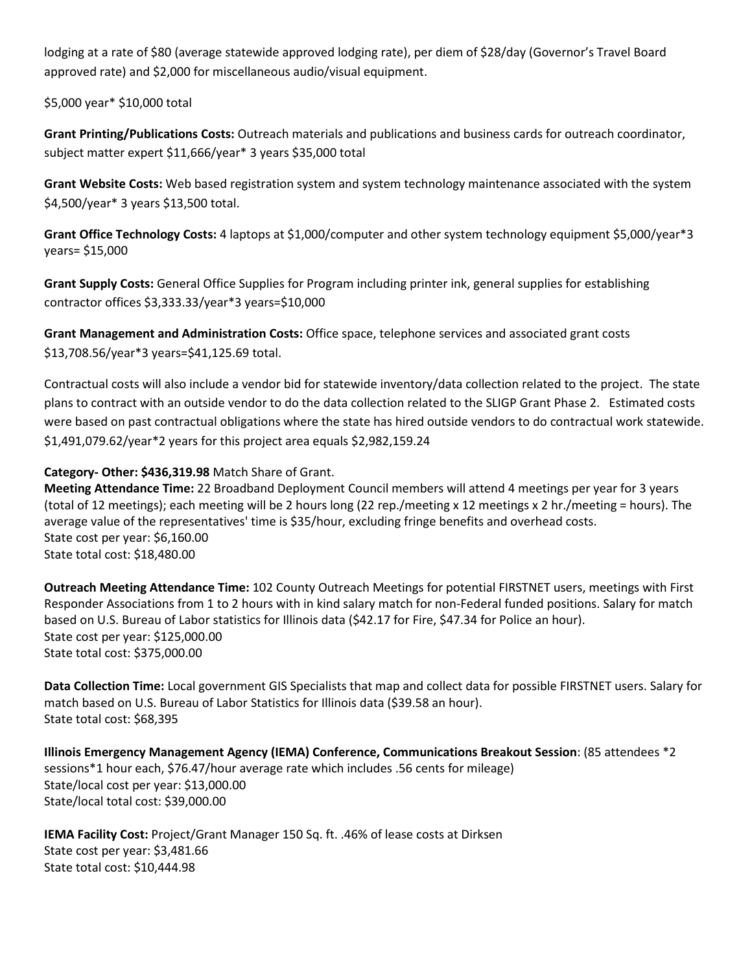lodging at a rate of \$80 (average statewide approved lodging rate), per diem of \$28/day (Governor's Travel Board approved rate) and \$2,000 for miscellaneous audio/visual equipment.

\$5,000 year\* \$10,000 total

**Grant Printing/Publications Costs:** Outreach materials and publications and business cards for outreach coordinator, subject matter expert \$11,666/year\* 3 years \$35,000 total

**Grant Website Costs:** Web based registration system and system technology maintenance associated with the system \$4,500/year\* 3 years \$13,500 total.

**Grant Office Technology Costs:** 4 laptops at \$1,000/computer and other system technology equipment \$5,000/year\*3 years= \$15,000

**Grant Supply Costs:** General Office Supplies for Program including printer ink, general supplies for establishing contractor offices \$3,333.33/year\*3 years=\$10,000

**Grant Management and Administration Costs:** Office space, telephone services and associated grant costs \$13,708.56/year\*3 years=\$41,125.69 total.

Contractual costs will also include a vendor bid for statewide inventory/data collection related to the project. The state plans to contract with an outside vendor to do the data collection related to the SLIGP Grant Phase 2. Estimated costs were based on past contractual obligations where the state has hired outside vendors to do contractual work statewide. \$1,491,079.62/year\*2 years for this project area equals \$2,982,159.24

### **Category- Other: \$436,319.98** Match Share of Grant.

**Meeting Attendance Time:** 22 Broadband Deployment Council members will attend 4 meetings per year for 3 years (total of 12 meetings); each meeting will be 2 hours long (22 rep./meeting x 12 meetings x 2 hr./meeting = hours). The average value of the representatives' time is \$35/hour, excluding fringe benefits and overhead costs. State cost per year: \$6,160.00 State total cost: \$18,480.00

**Outreach Meeting Attendance Time:** 102 County Outreach Meetings for potential FIRSTNET users, meetings with First Responder Associations from 1 to 2 hours with in kind salary match for non-Federal funded positions. Salary for match based on U.S. Bureau of Labor statistics for Illinois data (\$42.17 for Fire, \$47.34 for Police an hour). State cost per year: \$125,000.00 State total cost: \$375,000.00

**Data Collection Time:** Local government GIS Specialists that map and collect data for possible FIRSTNET users. Salary for match based on U.S. Bureau of Labor Statistics for Illinois data (\$39.58 an hour). State total cost: \$68,395

**Illinois Emergency Management Agency (IEMA) Conference, Communications Breakout Session**: (85 attendees \*2 sessions\*1 hour each, \$76.47/hour average rate which includes .56 cents for mileage) State/local cost per year: \$13,000.00 State/local total cost: \$39,000.00

**IEMA Facility Cost:** Project/Grant Manager 150 Sq. ft. .46% of lease costs at Dirksen State cost per year: \$3,481.66 State total cost: \$10,444.98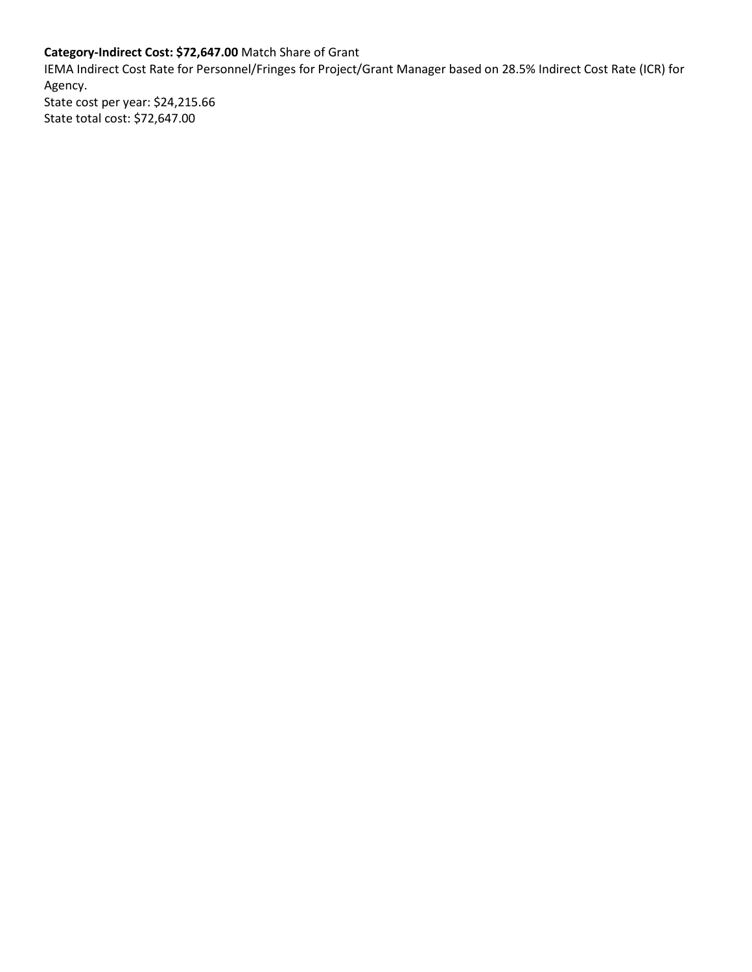## **Category-Indirect Cost: \$72,647.00** Match Share of Grant

IEMA Indirect Cost Rate for Personnel/Fringes for Project/Grant Manager based on 28.5% Indirect Cost Rate (ICR) for Agency.

State cost per year: \$24,215.66 State total cost: \$72,647.00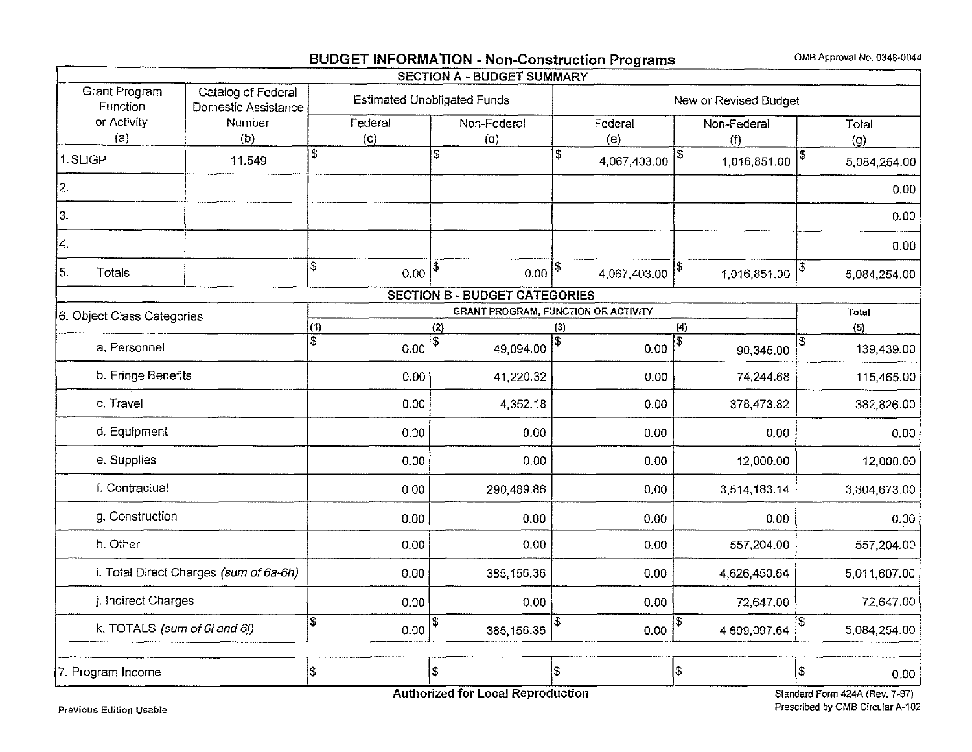# BUDGET INFORMATION - Non-Construction Programs OMB Approval No. 0348-0044

|                                  |                                           |                      |                                    |            | <b>SECTION A - BUDGET SUMMARY</b>    |                      |                        |                   |              |                     |              |  |
|----------------------------------|-------------------------------------------|----------------------|------------------------------------|------------|--------------------------------------|----------------------|------------------------|-------------------|--------------|---------------------|--------------|--|
| <b>Grant Program</b><br>Function | Catalog of Federal<br>Domestic Assistance |                      | <b>Estimated Unobligated Funds</b> |            |                                      |                      | New or Revised Budget  |                   |              |                     |              |  |
| or Activity                      | Number                                    |                      | Federal                            |            | Non-Federal                          |                      | Federal<br>Non-Federal |                   | Total        |                     |              |  |
| (a)                              | (b)                                       |                      | (c)                                |            | (d)                                  |                      | (e)<br>(f)             |                   |              | $\langle 9 \rangle$ |              |  |
| 1. SLIGP                         | 11.549                                    | 3                    |                                    | S          |                                      | l\$                  | 4,067,403.00           | \$                | 1,016,851.00 | I\$                 | 5,084,254.00 |  |
| $ 2\rangle$                      |                                           |                      |                                    |            |                                      |                      |                        |                   |              |                     | 0.00         |  |
| 3.                               |                                           |                      |                                    |            |                                      |                      |                        |                   |              |                     | 0.00         |  |
| 4.                               |                                           |                      |                                    |            |                                      |                      |                        |                   |              |                     | 0.00         |  |
| 5.<br>Totals                     |                                           | $\overline{\$}$      | $0.00^{9}$                         |            | $0.00$ <sup>\$</sup>                 |                      | 4,067,403.00           | \$                | 1,016,851.00 | \$                  | 5,084,254.00 |  |
|                                  |                                           |                      |                                    |            | <b>SECTION B - BUDGET CATEGORIES</b> |                      |                        |                   |              |                     |              |  |
| 6. Object Class Categories       |                                           |                      |                                    |            | GRANT PROGRAM, FUNCTION OR ACTIVITY  |                      |                        |                   |              |                     | Total        |  |
|                                  |                                           | (1)                  |                                    | (2)        |                                      | (3)                  |                        | $\left( 4\right)$ |              |                     | (5)          |  |
| a. Personnel                     |                                           | $\overline{s}$       | 0.00                               | \$         | 49,094.00                            | \$                   | 0.00                   |                   | 90,345.00    | S                   | 139,439.00   |  |
| b. Fringe Benefits               |                                           |                      | 0.00                               |            | 41,220.32                            |                      | 0.00                   |                   | 74,244.68    |                     | 115,465.00   |  |
| c. Travel                        |                                           |                      | 0.00                               |            | 4,352.18                             |                      | 0.00                   |                   | 378,473.82   |                     | 382,826.00   |  |
| d. Equipment                     |                                           |                      | 0.00                               |            | 0.00                                 |                      | 0.00                   |                   | 0.00         |                     | 0.00         |  |
| e. Supplies                      |                                           |                      | 0.00                               |            | 0.00                                 |                      | 0.00                   |                   | 12,000.00    |                     | 12,000.00    |  |
| f. Contractual                   |                                           |                      | 0.00                               |            | 290,489.86                           |                      | 0.00                   |                   | 3,514,183.14 |                     | 3,804,673.00 |  |
| g. Construction                  |                                           |                      | 0.00                               |            | 0.00                                 |                      | 0.00<br>0.00           |                   |              |                     | 0.00         |  |
| h. Other                         |                                           | 0.00<br>0.00<br>0.00 |                                    | 557,204.00 |                                      | 557,204.00           |                        |                   |              |                     |              |  |
|                                  | i. Total Direct Charges (sum of 6a-6h)    | 0.00<br>385,156.36   |                                    |            |                                      | 0.00<br>4,626,450.64 |                        |                   | 5,011,607.00 |                     |              |  |
| j. Indirect Charges              | 0.00                                      |                      |                                    | 0.00       | 0.00                                 |                      | 72,647.00              |                   |              | 72,647.00           |              |  |
| k. TOTALS (sum of 6i and 6j)     |                                           | l\$                  | 0.00                               |            | 385,156.36                           | \$                   | 0.00                   | \$                | 4,699,097.64 | \$                  | 5,084,254.00 |  |
| 7. Program Income                |                                           | l\$                  |                                    | \$         |                                      | \$                   |                        | l\$               |              | \$                  | 0.00         |  |
|                                  |                                           |                      |                                    |            |                                      |                      |                        |                   |              |                     |              |  |